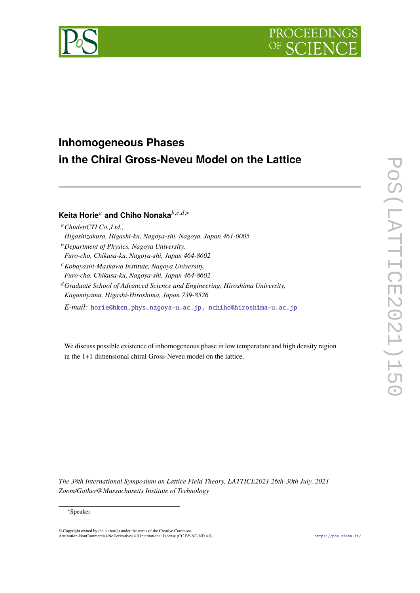



# **Inhomogeneous Phases in the Chiral Gross-Neveu Model on the Lattice**

# **Keita Horie<sup>***a***</sup> and Chiho Nonaka<sup>***b,c,d,***∗</sub></sup>**

| <sup>a</sup> ChudenCTI Co., Ltd., |  |
|-----------------------------------|--|
|-----------------------------------|--|

- *Higashizakura, Higashi-ku, Nagoya-shi, Nagoya, Japan 461-0005*
- *Department of Physics, Nagoya University,*
- *Furo-cho, Chikusa-ku, Nagoya-shi, Japan 464-8602*
- *Kobayashi-Maskawa Institute, Nagoya University,*
- *Furo-cho, Chikusa-ku, Nagoya-shi, Japan 464-8602*
- *Graduate School of Advanced Science and Engineering, Hiroshima University, Kagamiyama, Higashi-Hiroshima, Japan 739-8526*

*E-mail:* [horie@hken.phys.nagoya-u.ac.jp](mailto:horie@hken.phys.nagoya-u.ac.jp), [nchiho@hiroshima-u.ac.jp](mailto:nchiho@hiroshima-u.ac.jp)

We discuss possible existence of inhomogeneous phase in low temperature and high density region in the 1+1 dimensional chiral Gross-Neveu model on the lattice.

*The 38th International Symposium on Lattice Field Theory, LATTICE2021 26th-30th July, 2021 Zoom/Gather@Massachusetts Institute of Technology*

#### ∗Speaker

© Copyright owned by the author(s) under the terms of the Creative Commons Attribution-NonCommercial-NoDerivatives 4.0 International License (CC BY-NC-ND 4.0). <https://pos.sissa.it/>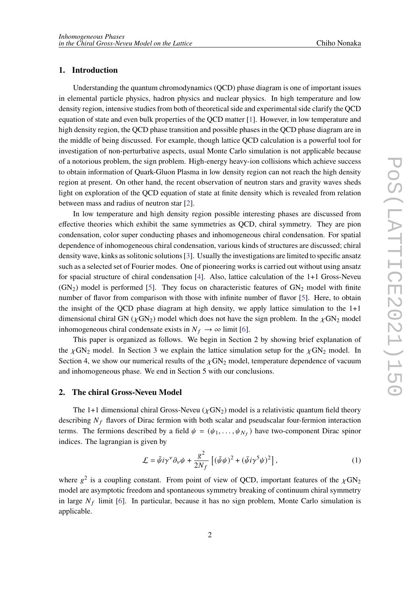# **1. Introduction**

Understanding the quantum chromodynamics (QCD) phase diagram is one of important issues in elemental particle physics, hadron physics and nuclear physics. In high temperature and low density region, intensive studies from both of theoretical side and experimental side clarify the QCD equation of state and even bulk properties of the QCD matter [\[1](#page-6-0)]. However, in low temperature and high density region, the QCD phase transition and possible phases in the QCD phase diagram are in the middle of being discussed. For example, though lattice QCD calculation is a powerful tool for investigation of non-perturbative aspects, usual Monte Carlo simulation is not applicable because of a notorious problem, the sign problem. High-energy heavy-ion collisions which achieve success to obtain information of Quark-Gluon Plasma in low density region can not reach the high density region at present. On other hand, the recent observation of neutron stars and gravity waves sheds light on exploration of the QCD equation of state at finite density which is revealed from relation between mass and radius of neutron star [\[2\]](#page-6-1).

In low temperature and high density region possible interesting phases are discussed from effective theories which exhibit the same symmetries as QCD, chiral symmetry. They are pion condensation, color super conducting phases and inhomogeneous chiral condensation. For spatial dependence of inhomogeneous chiral condensation, various kinds of structures are discussed; chiral density wave, kinks as solitonic solutions [[3](#page-6-2)]. Usually the investigations are limited to specific ansatz such as a selected set of Fourier modes. One of pioneering works is carried out without using ansatz for spacial structure of chiral condensation [[4\]](#page-6-3). Also, lattice calculation of the 1+1 Gross-Neveu  $(GN<sub>2</sub>)$  model is performed [\[5\]](#page-6-4). They focus on characteristic features of  $GN<sub>2</sub>$  model with finite number of flavor from comparison with those with infinite number of flavor [\[5\]](#page-6-4). Here, to obtain the insight of the QCD phase diagram at high density, we apply lattice simulation to the  $1+1$ dimensional chiral GN ( $\chi$ GN<sub>2</sub>) model which does not have the sign problem. In the  $\chi$ GN<sub>2</sub> model inhomogeneous chiral condensate exists in  $N_f \to \infty$  limit [[6](#page-6-5)].

This paper is organized as follows. We begin in Section 2 by showing brief explanation of the  $\chi$ GN<sub>2</sub> model. In Section 3 we explain the lattice simulation setup for the  $\chi$ GN<sub>2</sub> model. In Section 4, we show our numerical results of the  $\chi$ GN<sub>2</sub> model, temperature dependence of vacuum and inhomogeneous phase. We end in Section 5 with our conclusions.

# **2. The chiral Gross-Neveu Model**

The 1+1 dimensional chiral Gross-Neveu ( $\chi$ GN<sub>2</sub>) model is a relativistic quantum field theory describing  $N_f$  flavors of Dirac fermion with both scalar and pseudscalar four-fermion interaction terms. The fermions described by a field  $\psi = (\psi_1, \dots, \psi_{N_f})$  have two-component Dirac spinor indices. The lagrangian is given by

$$
\mathcal{L} = \bar{\psi} i \gamma^{\nu} \partial_{\nu} \psi + \frac{g^2}{2N_f} \left[ (\bar{\psi} \psi)^2 + (\bar{\psi} i \gamma^5 \psi)^2 \right], \tag{1}
$$

where  $g^2$  is a coupling constant. From point of view of QCD, important features of the  $\chi$ GN<sub>2</sub> model are asymptotic freedom and spontaneous symmetry breaking of continuum chiral symmetry in large  $N_f$  limit [[6](#page-6-5)]. In particular, because it has no sign problem, Monte Carlo simulation is applicable.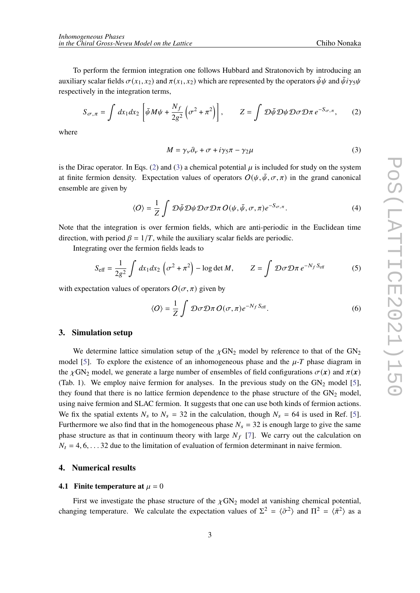To perform the fermion integration one follows Hubbard and Stratonovich by introducing an auxiliary scalar fields  $\sigma(x_1, x_2)$  and  $\pi(x_1, x_2)$  which are represented by the operators  $\bar{\psi}\psi$  and  $\bar{\psi}i\gamma_5\psi$ respectively in the integration terms,

$$
S_{\sigma,\pi} = \int dx_1 dx_2 \left[ \bar{\psi} M \psi + \frac{N_f}{2g^2} \left( \sigma^2 + \pi^2 \right) \right], \qquad Z = \int \mathcal{D} \bar{\psi} \mathcal{D} \psi \mathcal{D} \sigma \mathcal{D} \pi \, e^{-S_{\sigma,\pi}}, \qquad (2)
$$

where

<span id="page-2-1"></span><span id="page-2-0"></span>
$$
M = \gamma_{\nu}\partial_{\nu} + \sigma + i\gamma_{5}\pi - \gamma_{2}\mu
$$
\n(3)

is the Dirac operator. In Eqs. ([2](#page-2-0)) and ([3](#page-2-1)) a chemical potential  $\mu$  is included for study on the system at finite fermion density. Expectation values of operators  $O(\psi, \bar{\psi}, \sigma, \pi)$  in the grand canonical ensemble are given by

$$
\langle O \rangle = \frac{1}{Z} \int \mathcal{D}\bar{\psi} \mathcal{D}\psi \mathcal{D}\sigma \mathcal{D}\pi \, O(\psi, \bar{\psi}, \sigma, \pi) e^{-S_{\sigma, \pi}}.
$$
 (4)

Note that the integration is over fermion fields, which are anti-periodic in the Euclidean time direction, with period  $\beta = 1/T$ , while the auxiliary scalar fields are periodic.

Integrating over the fermion fields leads to

$$
S_{\text{eff}} = \frac{1}{2g^2} \int dx_1 dx_2 \left(\sigma^2 + \pi^2\right) - \log \det M, \qquad Z = \int \mathcal{D}\sigma \mathcal{D}\pi \, e^{-N_f S_{\text{eff}}}
$$
 (5)

with expectation values of operators  $O(\sigma, \pi)$  given by

$$
\langle O \rangle = \frac{1}{Z} \int \mathcal{D}\sigma \mathcal{D}\pi \, O(\sigma, \pi) e^{-N_f S_{\text{eff}}}.
$$
 (6)

#### **3. Simulation setup**

We determine lattice simulation setup of the  $\chi$ GN<sub>2</sub> model by reference to that of the GN<sub>2</sub> model [\[5\]](#page-6-4). To explore the existence of an inhomogeneous phase and the  $\mu$ -T phase diagram in the  $\chi$ GN<sub>2</sub> model, we generate a large number of ensembles of field configurations  $\sigma(\mathbf{x})$  and  $\pi(\mathbf{x})$ (Tab. 1). We employ naive fermion for analyses. In the previous study on the  $GN_2$  model [\[5\]](#page-6-4), they found that there is no lattice fermion dependence to the phase structure of the  $GN_2$  model, using naive fermion and SLAC fermion. It suggests that one can use both kinds of fermion actions. We fix the spatial extents  $N_s$  to  $N_s = 32$  in the calculation, though  $N_s = 64$  is used in Ref. [\[5\]](#page-6-4). Furthermore we also find that in the homogeneous phase  $N_s = 32$  is enough large to give the same phase structure as that in continuum theory with large  $N_f$  [\[7\]](#page-6-6). We carry out the calculation on  $N_t = 4, 6, \ldots$  32 due to the limitation of evaluation of fermion determinant in naive fermion.

#### **4. Numerical results**

#### **4.1 Finite temperature at**  $\mu = 0$

First we investigate the phase structure of the  $\chi$ GN<sub>2</sub> model at vanishing chemical potential, changing temperature. We calculate the expectation values of  $\Sigma^2 = \langle \bar{\sigma}^2 \rangle$  and  $\Pi^2 = \langle \bar{\pi}^2 \rangle$  as a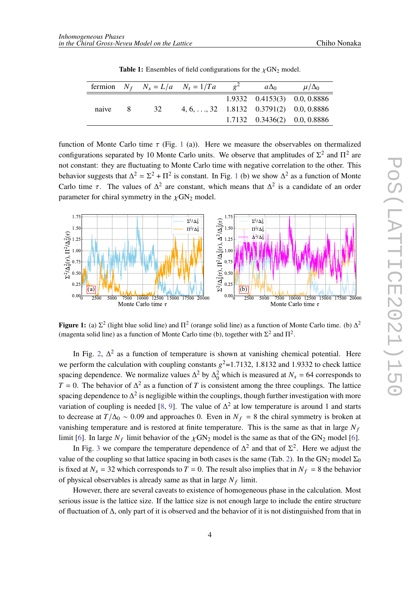|       |    | fermion $N_f$ $N_s = L/a$ $N_t = 1/Ta$                            | $a\Delta_0$ | $\mu/\Delta_0$                     |
|-------|----|-------------------------------------------------------------------|-------------|------------------------------------|
|       |    |                                                                   |             | 1.9332 0.4153(3) 0.0, 0.8886       |
| naive | 32 | $4, 6, \ldots, 32 \quad 1.8132 \quad 0.3791(2) \quad 0.0, 0.8886$ |             |                                    |
|       |    |                                                                   |             | $1.7132$ $0.3436(2)$ $0.0, 0.8886$ |

**Table 1:** Ensembles of field configurations for the  $\chi$ GN<sub>2</sub> model.

function of Monte Carlo time  $\tau$  (Fig. [1](#page-3-0) (a)). Here we measure the observables on thermalized configurations separated by 10 Monte Carlo units. We observe that amplitudes of  $\Sigma^2$  and  $\Pi^2$  are not constant: they are fluctuating to Monte Carlo time with negative correlation to the other. This behavior suggests that  $\Delta^2 = \Sigma^2 + \Pi^2$  is constant. In Fig. [1](#page-3-0) (b) we show  $\Delta^2$  as a function of Monte Carlo time  $\tau$ . The values of  $\Delta^2$  are constant, which means that  $\Delta^2$  is a candidate of an order parameter for chiral symmetry in the  $\chi$ GN<sub>2</sub> model.

<span id="page-3-0"></span>

**Figure 1:** (a)  $\Sigma^2$  (light blue solid line) and  $\Pi^2$  (orange solid line) as a function of Monte Carlo time. (b)  $\Delta^2$ (magenta solid line) as a function of Monte Carlo time (b), together with  $\Sigma^2$  and  $\Pi^2$ .

In Fig. [2](#page-4-0),  $\Delta^2$  as a function of temperature is shown at vanishing chemical potential. Here we perform the calculation with coupling constants  $g^2$ =1.7132, 1.8132 and 1.9332 to check lattice spacing dependence. We normalize values  $\Delta^2$  by  $\Delta_0^2$  which is measured at  $N_s = 64$  corresponds to  $T = 0$ . The behavior of  $\Delta^2$  as a function of T is consistent among the three couplings. The lattice spacing dependence to  $\Delta^2$  is negligible within the couplings, though further investigation with more variation of coupling is needed [[8](#page-6-7), [9\]](#page-6-8). The value of  $\Delta^2$  at low temperature is around 1 and starts to decrease at  $T/\Delta_0 \sim 0.09$  and approaches 0. Even in  $N_f = 8$  the chiral symmetry is broken at vanishing temperature and is restored at finite temperature. This is the same as that in large  $N_f$ limit [\[6\]](#page-6-5). In large  $N_f$  limit behavior of the  $\chi$ GN<sub>2</sub> model is the same as that of the GN<sub>2</sub> model [6].

In Fig. [3](#page-4-0) we compare the temperature dependence of  $\Delta^2$  and that of  $\Sigma^2$ . Here we adjust the value of the coupling so that lattice spacing in both cases is the same (Tab. [2\)](#page-4-1). In the  $GN_2$  model  $\Sigma_0$ is fixed at  $N_s = 32$  which corresponds to  $T = 0$ . The result also implies that in  $N_f = 8$  the behavior of physical observables is already same as that in large  $N_f$  limit.

However, there are several caveats to existence of homogeneous phase in the calculation. Most serious issue is the lattice size. If the lattice size is not enough large to include the entire structure of fluctuation of  $\Delta$ , only part of it is observed and the behavior of it is not distinguished from that in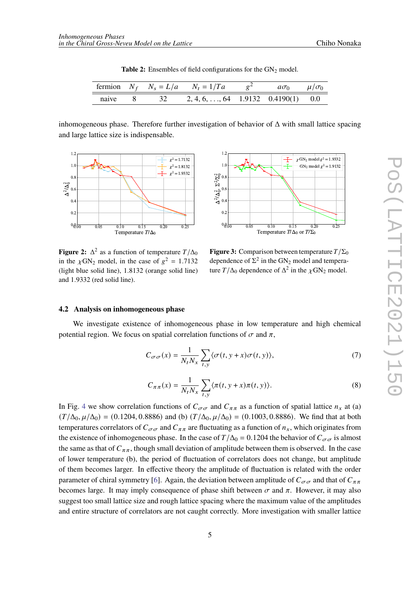| Table 2: Ensembles of field configurations for the $GN_2$ model. |
|------------------------------------------------------------------|
|------------------------------------------------------------------|

<span id="page-4-1"></span>

|  |            | fermion $N_f$ $N_s = L/a$ $N_t = 1/Ta$ $g^2$ | $a\sigma_0$ $\mu/\sigma_0$ |  |
|--|------------|----------------------------------------------|----------------------------|--|
|  | naive 8 32 | $2, 4, 6, \ldots, 64$ 1.9132 0.4190(1) 0.0   |                            |  |

inhomogeneous phase. Therefore further investigation of behavior of  $\Delta$  with small lattice spacing and large lattice size is indispensable.

<span id="page-4-0"></span>

**Figure 2:**  $\Delta^2$  as a function of temperature  $T/\Delta_0$ in the  $\chi$ GN<sub>2</sub> model, in the case of  $g^2 = 1.7132$ (light blue solid line), 1*.*8132 (orange solid line) and 1*.*9332 (red solid line).



**Figure 3:** Comparison between temperature  $T/\Sigma_0$ dependence of  $\Sigma^2$  in the GN<sub>2</sub> model and temperature  $T/\Delta_0$  dependence of  $\Delta^2$  in the  $\chi$ GN<sub>2</sub> model.

#### **4.2 Analysis on inhomogeneous phase**

We investigate existence of inhomogeneous phase in low temperature and high chemical potential region. We focus on spatial correlation functions of  $\sigma$  and  $\pi$ ,

$$
C_{\sigma\sigma}(x) = \frac{1}{N_t N_x} \sum_{t,y} \langle \sigma(t, y+x)\sigma(t, y) \rangle,
$$
 (7)

$$
C_{\pi\pi}(x) = \frac{1}{N_t N_x} \sum_{t,y} \langle \pi(t, y+x) \pi(t, y) \rangle.
$$
 (8)

In Fig. [4](#page-5-0) we show correlation functions of  $C_{\sigma\sigma}$  and  $C_{\pi\pi}$  as a function of spatial lattice  $n_x$  at (a)  $(T/\Delta_0, \mu/\Delta_0) = (0.1204, 0.8886)$  and (b)  $(T/\Delta_0, \mu/\Delta_0) = (0.1003, 0.8886)$ . We find that at both temperatures correlators of  $C_{\sigma\sigma}$  and  $C_{\pi\pi}$  are fluctuating as a function of  $n_x$ , which originates from the existence of inhomogeneous phase. In the case of  $T/\Delta_0 = 0.1204$  the behavior of  $C_{\sigma\sigma}$  is almost the same as that of  $C_{\pi\pi}$ , though small deviation of amplitude between them is observed. In the case of lower temperature (b), the period of fluctuation of correlators does not change, but amplitude of them becomes larger. In effective theory the amplitude of fluctuation is related with the order parameter of chiral symmetry [[6](#page-6-5)]. Again, the deviation between amplitude of  $C_{\sigma\sigma}$  and that of  $C_{\pi\pi}$ becomes large. It may imply consequence of phase shift between  $\sigma$  and  $\pi$ . However, it may also suggest too small lattice size and rough lattice spacing where the maximum value of the amplitudes and entire structure of correlators are not caught correctly. More investigation with smaller lattice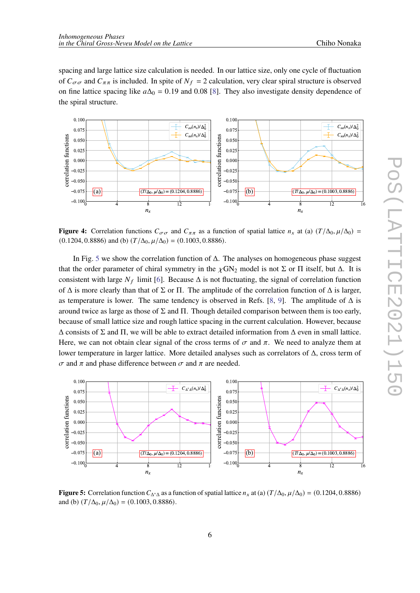spacing and large lattice size calculation is needed. In our lattice size, only one cycle of fluctuation of  $C_{\sigma\sigma}$  and  $C_{\pi\pi}$  is included. In spite of  $N_f = 2$  calculation, very clear spiral structure is observed on fine lattice spacing like  $a\Delta_0 = 0.19$  and 0.08 [\[8\]](#page-6-7). They also investigate density dependence of the spiral structure.

<span id="page-5-0"></span>

**Figure 4:** Correlation functions  $C_{\sigma\sigma}$  and  $C_{\pi\pi}$  as a function of spatial lattice  $n_x$  at (a)  $(T/\Delta_0, \mu/\Delta_0)$  =  $(0.1204, 0.8886)$  and (b)  $(T/\Delta_0, \mu/\Delta_0) = (0.1003, 0.8886)$ .

In Fig. [5](#page-5-1) we show the correlation function of  $\Delta$ . The analyses on homogeneous phase suggest that the order parameter of chiral symmetry in the  $\chi$ GN<sub>2</sub> model is not Σ or Π itself, but Δ. It is consistent with large  $N_f$  limit [[6](#page-6-5)]. Because  $\Delta$  is not fluctuating, the signal of correlation function of  $\Delta$  is more clearly than that of  $\Sigma$  or  $\Pi$ . The amplitude of the correlation function of  $\Delta$  is larger, as temperature is lower. The same tendency is observed in Refs. [\[8,](#page-6-7) [9\]](#page-6-8). The amplitude of  $\Delta$  is around twice as large as those of  $\Sigma$  and  $\Pi$ . Though detailed comparison between them is too early, because of small lattice size and rough lattice spacing in the current calculation. However, because  $\Delta$  consists of  $\Sigma$  and  $\Pi$ , we will be able to extract detailed information from  $\Delta$  even in small lattice. Here, we can not obtain clear signal of the cross terms of  $\sigma$  and  $\pi$ . We need to analyze them at lower temperature in larger lattice. More detailed analyses such as correlators of Δ, cross term of  $\sigma$  and  $\pi$  and phase difference between  $\sigma$  and  $\pi$  are needed.

<span id="page-5-1"></span>

**Figure 5:** Correlation function  $C_{\Delta^*\Delta}$  as a function of spatial lattice  $n_x$  at (a)  $(T/\Delta_0, \mu/\Delta_0) = (0.1204, 0.8886)$ and (b)  $(T/\Delta_0, \mu/\Delta_0) = (0.1003, 0.8886)$ .